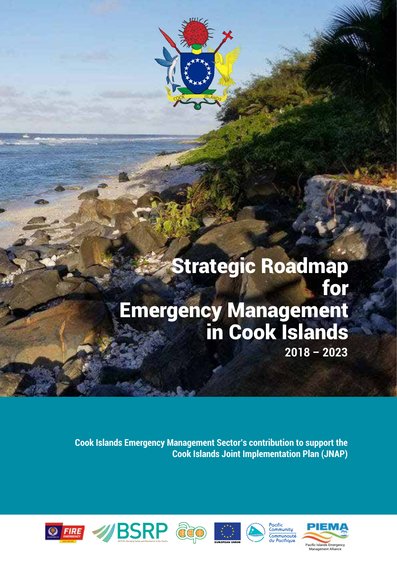

# Strategic Roadmap for Emergency Management in Cook Islands **2018 – 2023**

**Cook Islands Emergency Management Sector's contribution to support the Cook Islands Joint Implementation Plan (JNAP)**











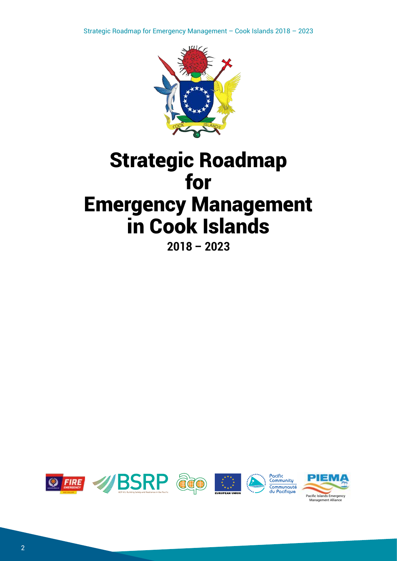

# Strategic Roadmap for Emergency Management in Cook Islands

**2018 – 2023**

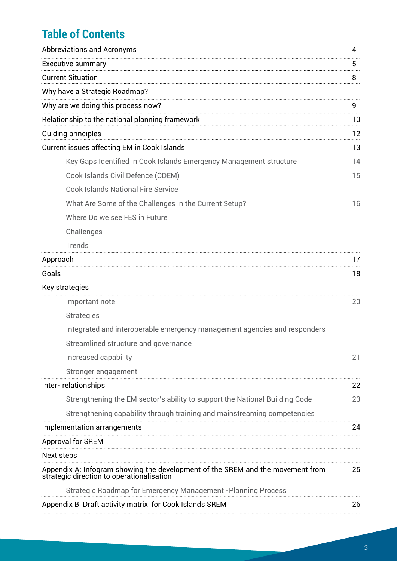## **Table of Contents**

| <b>Abbreviations and Acronyms</b>                                                                                           | 4  |
|-----------------------------------------------------------------------------------------------------------------------------|----|
| <b>Executive summary</b>                                                                                                    |    |
| <b>Current Situation</b>                                                                                                    | 8  |
| Why have a Strategic Roadmap?                                                                                               |    |
| Why are we doing this process now?                                                                                          | 9  |
| Relationship to the national planning framework                                                                             | 10 |
| <b>Guiding principles</b>                                                                                                   | 12 |
| Current issues affecting EM in Cook Islands                                                                                 | 13 |
| Key Gaps Identified in Cook Islands Emergency Management structure                                                          | 14 |
| Cook Islands Civil Defence (CDEM)                                                                                           | 15 |
| <b>Cook Islands National Fire Service</b>                                                                                   |    |
| What Are Some of the Challenges in the Current Setup?                                                                       | 16 |
| Where Do we see FES in Future                                                                                               |    |
| Challenges                                                                                                                  |    |
| <b>Trends</b>                                                                                                               |    |
| Approach                                                                                                                    | 17 |
| Goals                                                                                                                       | 18 |
| Key strategies                                                                                                              |    |
| Important note                                                                                                              | 20 |
| <b>Strategies</b>                                                                                                           |    |
| Integrated and interoperable emergency management agencies and responders                                                   |    |
| Streamlined structure and governance                                                                                        |    |
| Increased capability                                                                                                        | 21 |
| Stronger engagement                                                                                                         |    |
| Inter-relationships                                                                                                         | 22 |
| Strengthening the EM sector's ability to support the National Building Code                                                 | 23 |
| Strengthening capability through training and mainstreaming competencies                                                    |    |
| Implementation arrangements                                                                                                 | 24 |
| Approval for SREM                                                                                                           |    |
| Next steps                                                                                                                  |    |
| Appendix A: Infogram showing the development of the SREM and the movement from<br>strategic direction to operationalisation | 25 |
| <b>Strategic Roadmap for Emergency Management - Planning Process</b>                                                        |    |
| Appendix B: Draft activity matrix for Cook Islands SREM                                                                     | 26 |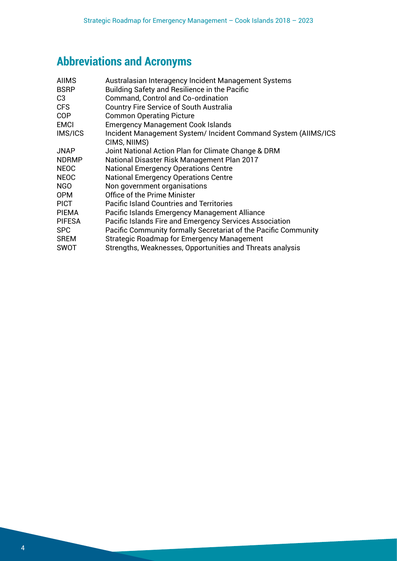# **Abbreviations and Acronyms**

| <b>AIIMS</b>  | Australasian Interagency Incident Management Systems                          |
|---------------|-------------------------------------------------------------------------------|
| <b>BSRP</b>   | <b>Building Safety and Resilience in the Pacific</b>                          |
| C3            | <b>Command, Control and Co-ordination</b>                                     |
| CFS           | <b>Country Fire Service of South Australia</b>                                |
| COP           | <b>Common Operating Picture</b>                                               |
| <b>EMCI</b>   | <b>Emergency Management Cook Islands</b>                                      |
| IMS/ICS       | Incident Management System/Incident Command System (AIIMS/ICS<br>CIMS, NIIMS) |
| JNAP          | Joint National Action Plan for Climate Change & DRM                           |
| <b>NDRMP</b>  | National Disaster Risk Management Plan 2017                                   |
| <b>NEOC</b>   | <b>National Emergency Operations Centre</b>                                   |
| <b>NEOC</b>   | <b>National Emergency Operations Centre</b>                                   |
| NGO.          | Non government organisations                                                  |
| 0PM           | Office of the Prime Minister                                                  |
| PICT          | <b>Pacific Island Countries and Territories</b>                               |
| <b>PIEMA</b>  | Pacific Islands Emergency Management Alliance                                 |
| <b>PIFESA</b> | Pacific Islands Fire and Emergency Services Association                       |
| <b>SPC</b>    | Pacific Community formally Secretariat of the Pacific Community               |
| <b>SREM</b>   | <b>Strategic Roadmap for Emergency Management</b>                             |
| SWOT          | Strengths, Weaknesses, Opportunities and Threats analysis                     |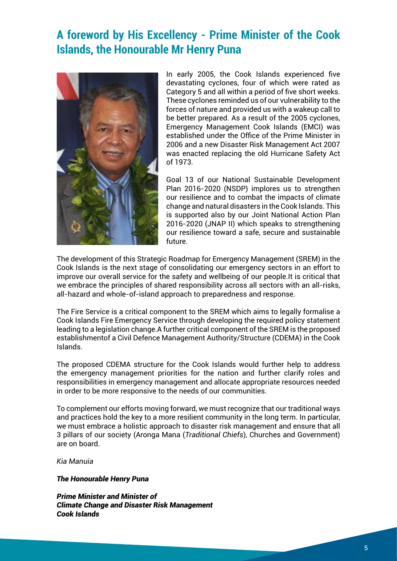### **A foreword by His Excellency - Prime Minister of the Cook Islands, the Honourable Mr Henry Puna**



In early 2005, the Cook Islands experienced five devastating cyclones, four of which were rated as Category 5 and all within a period of five short weeks. These cyclones reminded us of our vulnerability to the forces of nature and provided us with a wakeup call to be better prepared. As a result of the 2005 cyclones, Emergency Management Cook Islands (EMCI) was established under the Office of the Prime Minister in 2006 and a new Disaster Risk Management Act 2007 was enacted replacing the old Hurricane Safety Act of 1973.

Goal 13 of our National Sustainable Development Plan 2016-2020 (NSDP) implores us to strengthen our resilience and to combat the impacts of climate change and natural disasters in the Cook Islands. This is supported also by our Joint National Action Plan 2016-2020 (JNAP II) which speaks to strengthening our resilience toward a safe, secure and sustainable future.

The development of this Strategic Roadmap for Emergency Management (SREM) in the Cook Islands is the next stage of consolidating our emergency sectors in an effort to improve our overall service for the safety and wellbeing of our people.It is critical that we embrace the principles of shared responsibility across all sectors with an all-risks, all-hazard and whole-of-island approach to preparedness and response.

The Fire Service is a critical component to the SREM which aims to legally formalise a Cook Islands Fire Emergency Service through developing the required policy statement leading to a legislation change.A further critical component of the SREM is the proposed establishmentof a Civil Defence Management Authority/Structure (CDEMA) in the Cook Islands.

The proposed CDEMA structure for the Cook Islands would further help to address the emergency management priorities for the nation and further clarify roles and responsibilities in emergency management and allocate appropriate resources needed in order to be more responsive to the needs of our communities.

To complement our efforts moving forward, we must recognize that our traditional ways and practices hold the key to a more resilient community in the long term. In particular, we must embrace a holistic approach to disaster risk management and ensure that all 3 pillars of our society (Aronga Mana (*Traditional Chiefs*), Churches and Government) are on board.

*Kia Manuia*

#### *The Honourable Henry Puna*

*Prime Minister and Minister of Climate Change and Disaster Risk Management Cook Islands*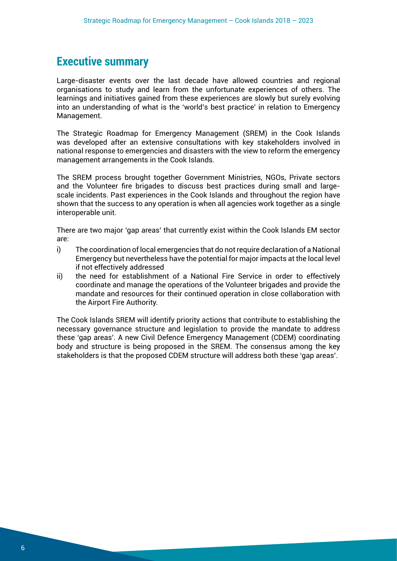### **Executive summary**

Large-disaster events over the last decade have allowed countries and regional organisations to study and learn from the unfortunate experiences of others. The learnings and initiatives gained from these experiences are slowly but surely evolving into an understanding of what is the 'world's best practice' in relation to Emergency Management.

The Strategic Roadmap for Emergency Management (SREM) in the Cook Islands was developed after an extensive consultations with key stakeholders involved in national response to emergencies and disasters with the view to reform the emergency management arrangements in the Cook Islands.

The SREM process brought together Government Ministries, NGOs, Private sectors and the Volunteer fire brigades to discuss best practices during small and largescale incidents. Past experiences in the Cook Islands and throughout the region have shown that the success to any operation is when all agencies work together as a single interoperable unit.

There are two major 'gap areas' that currently exist within the Cook Islands EM sector are:

- i) The coordination of local emergencies that do not require declaration of a National Emergency but nevertheless have the potential for major impacts at the local level if not effectively addressed
- ii) the need for establishment of a National Fire Service in order to effectively coordinate and manage the operations of the Volunteer brigades and provide the mandate and resources for their continued operation in close collaboration with the Airport Fire Authority.

The Cook Islands SREM will identify priority actions that contribute to establishing the necessary governance structure and legislation to provide the mandate to address these 'gap areas'. A new Civil Defence Emergency Management (CDEM) coordinating body and structure is being proposed in the SREM. The consensus among the key stakeholders is that the proposed CDEM structure will address both these 'gap areas'.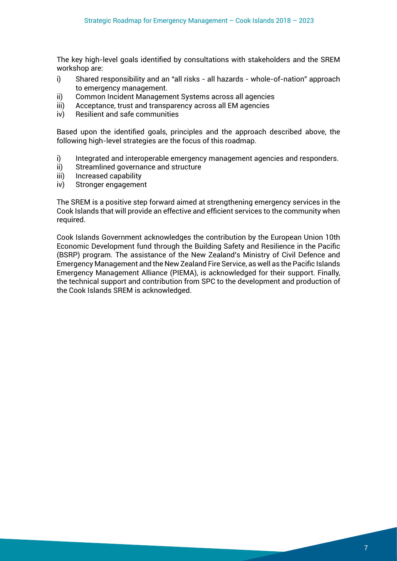The key high-level goals identified by consultations with stakeholders and the SREM workshop are:

- i) Shared responsibility and an "all risks all hazards whole-of-nation" approach to emergency management.
- ii) Common Incident Management Systems across all agencies
- iii) Acceptance, trust and transparency across all EM agencies
- iv) Resilient and safe communities

Based upon the identified goals, principles and the approach described above, the following high-level strategies are the focus of this roadmap.

- i) Integrated and interoperable emergency management agencies and responders.
- ii) Streamlined governance and structure
- iii) Increased capability
- iv) Stronger engagement

The SREM is a positive step forward aimed at strengthening emergency services in the Cook Islands that will provide an effective and efficient services to the community when required.

Cook Islands Government acknowledges the contribution by the European Union 10th Economic Development fund through the Building Safety and Resilience in the Pacific (BSRP) program. The assistance of the New Zealand's Ministry of Civil Defence and Emergency Management and the New Zealand Fire Service, as well as the Pacific Islands Emergency Management Alliance (PIEMA), is acknowledged for their support. Finally, the technical support and contribution from SPC to the development and production of the Cook Islands SREM is acknowledged.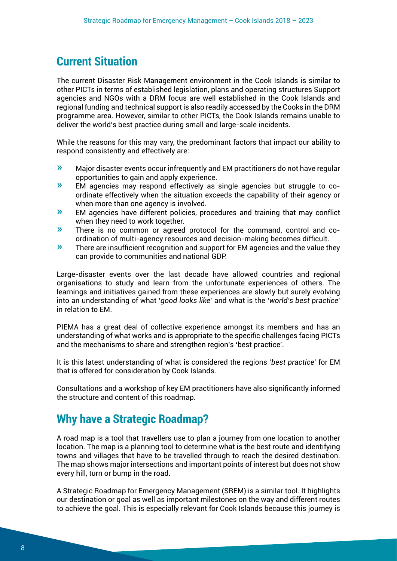### **Current Situation**

The current Disaster Risk Management environment in the Cook Islands is similar to other PICTs in terms of established legislation, plans and operating structures Support agencies and NGOs with a DRM focus are well established in the Cook Islands and regional funding and technical support is also readily accessed by the Cooks in the DRM programme area. However, similar to other PICTs, the Cook Islands remains unable to deliver the world's best practice during small and large-scale incidents.

While the reasons for this may vary, the predominant factors that impact our ability to respond consistently and effectively are:

- » Major disaster events occur infrequently and EM practitioners do not have regular opportunities to gain and apply experience.
- » EM agencies may respond effectively as single agencies but struggle to coordinate effectively when the situation exceeds the capability of their agency or when more than one agency is involved.
- » EM agencies have different policies, procedures and training that may conflict when they need to work together.
- » There is no common or agreed protocol for the command, control and coordination of multi-agency resources and decision-making becomes difficult.
- » There are insufficient recognition and support for EM agencies and the value they can provide to communities and national GDP.

Large-disaster events over the last decade have allowed countries and regional organisations to study and learn from the unfortunate experiences of others. The learnings and initiatives gained from these experiences are slowly but surely evolving into an understanding of what '*good looks like*' and what is the '*world's best practice*' in relation to EM.

PIEMA has a great deal of collective experience amongst its members and has an understanding of what works and is appropriate to the specific challenges facing PICTs and the mechanisms to share and strengthen region's 'best practice'.

It is this latest understanding of what is considered the regions '*best practice*' for EM that is offered for consideration by Cook Islands.

Consultations and a workshop of key EM practitioners have also significantly informed the structure and content of this roadmap.

### **Why have a Strategic Roadmap?**

A road map is a tool that travellers use to plan a journey from one location to another location. The map is a planning tool to determine what is the best route and identifying towns and villages that have to be travelled through to reach the desired destination. The map shows major intersections and important points of interest but does not show every hill, turn or bump in the road.

A Strategic Roadmap for Emergency Management (SREM) is a similar tool. It highlights our destination or goal as well as important milestones on the way and different routes to achieve the goal. This is especially relevant for Cook Islands because this journey is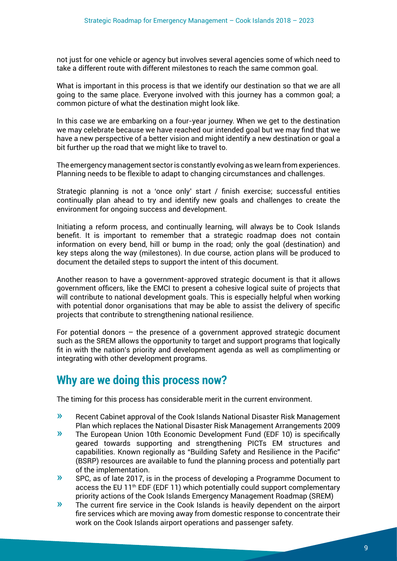not just for one vehicle or agency but involves several agencies some of which need to take a different route with different milestones to reach the same common goal.

What is important in this process is that we identify our destination so that we are all going to the same place. Everyone involved with this journey has a common goal; a common picture of what the destination might look like.

In this case we are embarking on a four-year journey. When we get to the destination we may celebrate because we have reached our intended goal but we may find that we have a new perspective of a better vision and might identify a new destination or goal a bit further up the road that we might like to travel to.

The emergency management sector is constantly evolving as we learn from experiences. Planning needs to be flexible to adapt to changing circumstances and challenges.

Strategic planning is not a 'once only' start / finish exercise; successful entities continually plan ahead to try and identify new goals and challenges to create the environment for ongoing success and development.

Initiating a reform process, and continually learning, will always be to Cook Islands benefit. It is important to remember that a strategic roadmap does not contain information on every bend, hill or bump in the road; only the goal (destination) and key steps along the way (milestones). In due course, action plans will be produced to document the detailed steps to support the intent of this document.

Another reason to have a government-approved strategic document is that it allows government officers, like the EMCI to present a cohesive logical suite of projects that will contribute to national development goals. This is especially helpful when working with potential donor organisations that may be able to assist the delivery of specific projects that contribute to strengthening national resilience.

For potential donors – the presence of a government approved strategic document such as the SREM allows the opportunity to target and support programs that logically fit in with the nation's priority and development agenda as well as complimenting or integrating with other development programs.

### **Why are we doing this process now?**

The timing for this process has considerable merit in the current environment.

- » Recent Cabinet approval of the Cook Islands National Disaster Risk Management Plan which replaces the National Disaster Risk Management Arrangements 2009
- » The European Union 10th Economic Development Fund (EDF 10) is specifically geared towards supporting and strengthening PICTs EM structures and capabilities. Known regionally as "Building Safety and Resilience in the Pacific" (BSRP) resources are available to fund the planning process and potentially part of the implementation.
- » SPC, as of late 2017, is in the process of developing a Programme Document to access the EU  $11<sup>th</sup>$  EDF (EDF 11) which potentially could support complementary priority actions of the Cook Islands Emergency Management Roadmap (SREM)
- » The current fire service in the Cook Islands is heavily dependent on the airport fire services which are moving away from domestic response to concentrate their work on the Cook Islands airport operations and passenger safety.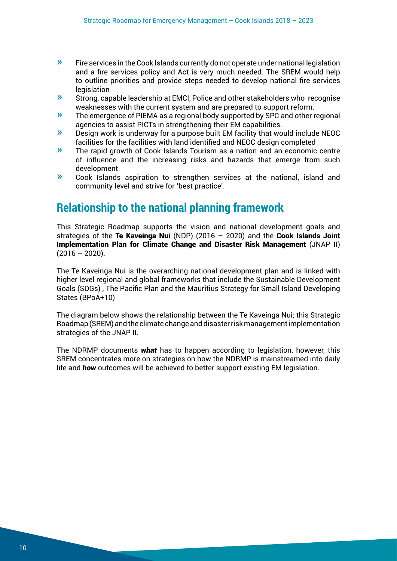- $\gg$  Fire services in the Cook Islands currently do not operate under national legislation and a fire services policy and Act is very much needed. The SREM would help to outline priorities and provide steps needed to develop national fire services legislation
- » Strong, capable leadership at EMCI, Police and other stakeholders who recognise weaknesses with the current system and are prepared to support reform.
- » The emergence of PIEMA as a regional body supported by SPC and other regional agencies to assist PICTs in strengthening their EM capabilities.
- » Design work is underway for a purpose built EM facility that would include NEOC facilities for the facilities with land identified and NEOC design completed
- » The rapid growth of Cook Islands Tourism as a nation and an economic centre of influence and the increasing risks and hazards that emerge from such development.
- » Cook Islands aspiration to strengthen services at the national, island and community level and strive for 'best practice'.

### **Relationship to the national planning framework**

This Strategic Roadmap supports the vision and national development goals and strategies of the Te Kaveinga Nui (NDP) (2016  $-$  2020) and the Cook Islands Joint Implementation Plan for Climate Change and Disaster Risk Management (JNAP II)  $(2016 - 2020)$ .

The Te Kaveinga Nui is the overarching national development plan and is linked with higher level regional and global frameworks that include the Sustainable Development Goals (SDGs) , The Pacific Plan and the Mauritius Strategy for Small Island Developing States (BPoA+10)

The diagram below shows the relationship between the Te Kaveinga Nui; this Strategic Roadmap (SREM) and the climate change and disaster risk management implementation strategies of the JNAP II.

The NDRMP documents *what* has to happen according to legislation, however, this SREM concentrates more on strategies on how the NDRMP is mainstreamed into daily life and *how* outcomes will be achieved to better support existing EM legislation.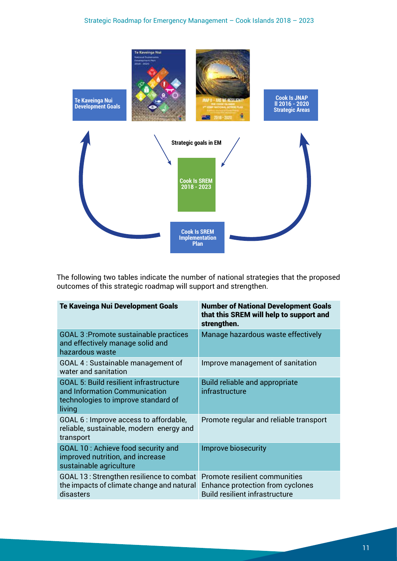

The following two tables indicate the number of national strategies that the proposed outcomes of this strategic roadmap will support and strengthen.

| <b>Te Kaveinga Nui Development Goals</b>                                                                                        | <b>Number of National Development Goals</b><br>that this SREM will help to support and<br>strengthen.      |
|---------------------------------------------------------------------------------------------------------------------------------|------------------------------------------------------------------------------------------------------------|
| <b>GOAL 3: Promote sustainable practices</b><br>and effectively manage solid and<br>hazardous waste                             | Manage hazardous waste effectively                                                                         |
| GOAL 4 : Sustainable management of<br>water and sanitation                                                                      | Improve management of sanitation                                                                           |
| <b>GOAL 5: Build resilient infrastructure</b><br>and Information Communication<br>technologies to improve standard of<br>living | <b>Build reliable and appropriate</b><br>infrastructure                                                    |
| GOAL 6 : Improve access to affordable,<br>reliable, sustainable, modern energy and<br>transport                                 | Promote regular and reliable transport                                                                     |
| GOAL 10 : Achieve food security and<br>improved nutrition, and increase<br>sustainable agriculture                              | Improve biosecurity                                                                                        |
| GOAL 13: Strengthen resilience to combat<br>the impacts of climate change and natural<br>disasters                              | Promote resilient communities<br>Enhance protection from cyclones<br><b>Build resilient infrastructure</b> |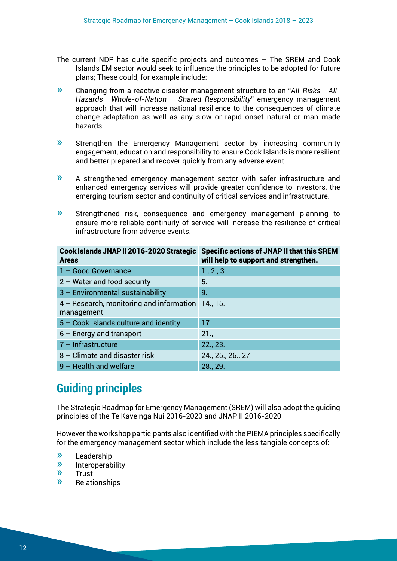- The current NDP has quite specific projects and outcomes The SREM and Cook Islands EM sector would seek to influence the principles to be adopted for future plans; These could, for example include:
- » Changing from a reactive disaster management structure to an "*All-Risks All-Hazards –Whole-of-Nation – Shared Responsibility*" emergency management approach that will increase national resilience to the consequences of climate change adaptation as well as any slow or rapid onset natural or man made hazards.
- » Strengthen the Emergency Management sector by increasing community engagement, education and responsibility to ensure Cook Islands is more resilient and better prepared and recover quickly from any adverse event.
- » A strengthened emergency management sector with safer infrastructure and enhanced emergency services will provide greater confidence to investors, the emerging tourism sector and continuity of critical services and infrastructure.
- » Strengthened risk, consequence and emergency management planning to ensure more reliable continuity of service will increase the resilience of critical infrastructure from adverse events.

| Cook Islands JNAP II 2016-2020 Strategic<br><b>Areas</b> | <b>Specific actions of JNAP II that this SREM</b><br>will help to support and strengthen. |
|----------------------------------------------------------|-------------------------------------------------------------------------------------------|
| 1 - Good Governance                                      | 1., 2., 3.                                                                                |
| $2 - Water$ and food security                            | 5.                                                                                        |
| 3 - Environmental sustainability                         | 9.                                                                                        |
| 4 - Research, monitoring and information                 | 14.715.                                                                                   |
| management                                               |                                                                                           |
| $5 - \text{Cook}$ Islands culture and identity           | 17.                                                                                       |
| $6$ – Energy and transport                               | 21.                                                                                       |
| $7$ – Infrastructure                                     | 22., 23.                                                                                  |
| 8 – Climate and disaster risk                            | 24., 25., 26., 27                                                                         |
| $9$ – Health and welfare                                 | 28., 29.                                                                                  |

### **Guiding principles**

The Strategic Roadmap for Emergency Management (SREM) will also adopt the guiding principles of the Te Kaveinga Nui 2016-2020 and JNAP II 2016-2020

However the workshop participants also identified with the PIEMA principles specifically for the emergency management sector which include the less tangible concepts of:

- » Leadership
- $\frac{w}{w}$  Interoperability
- » Trust
- » Relationships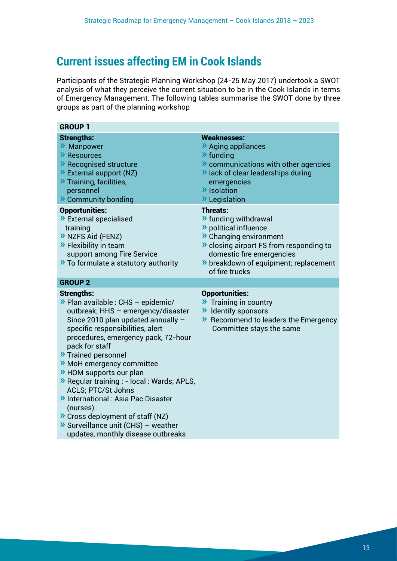## **Current issues affecting EM in Cook Islands**

Participants of the Strategic Planning Workshop (24-25 May 2017) undertook a SWOT analysis of what they perceive the current situation to be in the Cook Islands in terms of Emergency Management. The following tables summarise the SWOT done by three groups as part of the planning workshop

| <b>GROUP 1</b>                                                                                                                                                                                                                                                                                                                                                                                                                                                                                                                                                              |                                                                                                                                                                                                                                    |
|-----------------------------------------------------------------------------------------------------------------------------------------------------------------------------------------------------------------------------------------------------------------------------------------------------------------------------------------------------------------------------------------------------------------------------------------------------------------------------------------------------------------------------------------------------------------------------|------------------------------------------------------------------------------------------------------------------------------------------------------------------------------------------------------------------------------------|
| <b>Strengths:</b><br>>> Manpower<br>>> Resources<br>>> Recognised structure<br>>> External support (NZ)<br>>> Training, facilities,<br>personnel<br>>> Community bonding                                                                                                                                                                                                                                                                                                                                                                                                    | <b>Weaknesses:</b><br>>> Aging appliances<br>$\lambda$ funding<br><b>»</b> communications with other agencies<br>>> lack of clear leaderships during<br>emergencies<br>>> Isolation<br>» Legislation                               |
| <b>Opportunities:</b><br>>> External specialised<br>training<br>>> NZFS Aid (FENZ)<br>>> Flexibility in team<br>support among Fire Service<br>>> To formulate a statutory authority                                                                                                                                                                                                                                                                                                                                                                                         | <b>Threats:</b><br>>> funding withdrawal<br>>> political influence<br>>> Changing environment<br>>> closing airport FS from responding to<br>domestic fire emergencies<br>>> breakdown of equipment; replacement<br>of fire trucks |
| <b>GROUP 2</b>                                                                                                                                                                                                                                                                                                                                                                                                                                                                                                                                                              |                                                                                                                                                                                                                                    |
| <b>Strengths:</b><br>$\rightarrow$ Plan available : CHS - epidemic/<br>outbreak; HHS - emergency/disaster<br>Since 2010 plan updated annually -<br>specific responsibilities, alert<br>procedures, emergency pack, 72-hour<br>pack for staff<br>>> Trained personnel<br>>> MoH emergency committee<br>>> HOM supports our plan<br>>> Regular training : - local : Wards; APLS,<br>ACLS; PTC/St Johns<br>>> International : Asia Pac Disaster<br>(nurses)<br>>> Cross deployment of staff (NZ)<br>>> Surveillance unit (CHS) - weather<br>updates, monthly disease outbreaks | <b>Opportunities:</b><br>>> Training in country<br>>> Identify sponsors<br>>> Recommend to leaders the Emergency<br>Committee stays the same                                                                                       |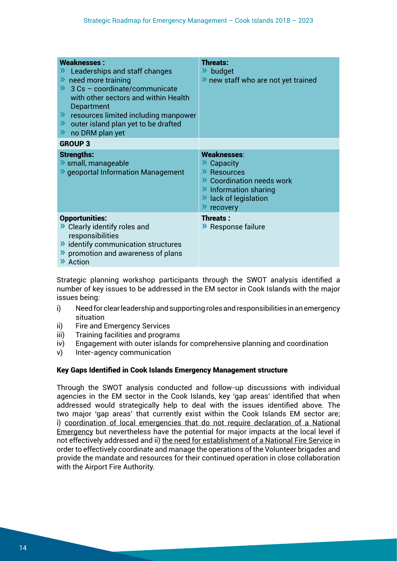| <b>Weaknesses:</b><br>Leaderships and staff changes<br>$\lambda$ need more training<br>$\rightarrow$ 3 Cs - coordinate/communicate<br>with other sectors and within Health<br>Department<br>>> resources limited including manpower<br>>> outer island plan yet to be drafted<br>no DRM plan yet<br>$\lambda$ | <b>Threats:</b><br>» budget<br>>> new staff who are not yet trained                                                                   |
|---------------------------------------------------------------------------------------------------------------------------------------------------------------------------------------------------------------------------------------------------------------------------------------------------------------|---------------------------------------------------------------------------------------------------------------------------------------|
| <b>GROUP 3</b>                                                                                                                                                                                                                                                                                                |                                                                                                                                       |
| <b>Strengths:</b><br>> small, manageable<br><b>»</b> geoportal Information Management                                                                                                                                                                                                                         | Weaknesses:<br>Capacity<br>>> Resources<br>>> Coordination needs work<br>>> Information sharing<br>>> lack of legislation<br>recovery |
| <b>Opportunities:</b><br>>> Clearly identify roles and<br>responsibilities<br>>> identify communication structures<br>>> promotion and awareness of plans<br>>> Action                                                                                                                                        | <b>Threats:</b><br>>> Response failure                                                                                                |

Strategic planning workshop participants through the SWOT analysis identified a number of key issues to be addressed in the EM sector in Cook Islands with the major issues being:

- i) Need for clear leadership and supporting roles and responsibilities in an emergency situation
- ii) Fire and Emergency Services
- iii) Training facilities and programs
- iv) Engagement with outer islands for comprehensive planning and coordination
- v) Inter-agency communication

#### Key Gaps Identified in Cook Islands Emergency Management structure

Through the SWOT analysis conducted and follow-up discussions with individual agencies in the EM sector in the Cook Islands, key 'gap areas' identified that when addressed would strategically help to deal with the issues identified above. The two major 'gap areas' that currently exist within the Cook Islands EM sector are; i) coordination of local emergencies that do not require declaration of a National Emergency but nevertheless have the potential for major impacts at the local level if not effectively addressed and ii) the need for establishment of a National Fire Service in order to effectively coordinate and manage the operations of the Volunteer brigades and provide the mandate and resources for their continued operation in close collaboration with the Airport Fire Authority.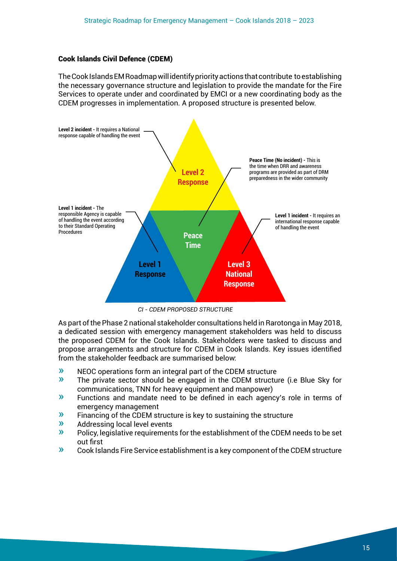#### Cook Islands Civil Defence (CDEM)

The Cook Islands EM Roadmap will identify priority actions that contribute to establishing the necessary governance structure and legislation to provide the mandate for the Fire Services to operate under and coordinated by EMCI or a new coordinating body as the CDEM progresses in implementation. A proposed structure is presented below.



*CI - CDEM PROPOSED STRUCTURE*

As part of the Phase 2 national stakeholder consultations held in Rarotonga in May 2018, a dedicated session with emergency management stakeholders was held to discuss the proposed CDEM for the Cook Islands. Stakeholders were tasked to discuss and propose arrangements and structure for CDEM in Cook Islands. Key issues identified from the stakeholder feedback are summarised below:

- » NEOC operations form an integral part of the CDEM structure
- » The private sector should be engaged in the CDEM structure (i.e Blue Sky for communications, TNN for heavy equipment and manpower)
- » Functions and mandate need to be defined in each agency's role in terms of emergency management
- » Financing of the CDEM structure is key to sustaining the structure
- » Addressing local level events
- » Policy, legislative requirements for the establishment of the CDEM needs to be set out first
- » Cook Islands Fire Service establishment is a key component of the CDEM structure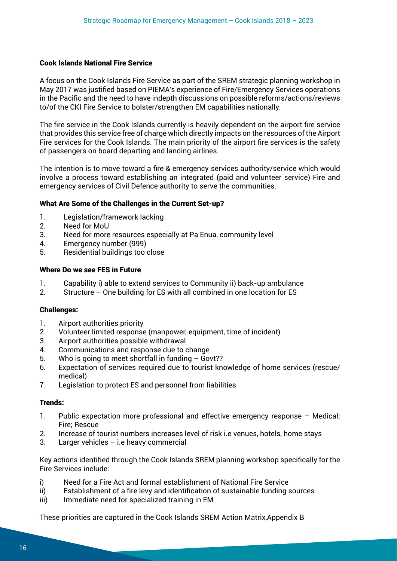#### Cook Islands National Fire Service

A focus on the Cook Islands Fire Service as part of the SREM strategic planning workshop in May 2017 was justified based on PIEMA's experience of Fire/Emergency Services operations in the Pacific and the need to have indepth discussions on possible reforms/actions/reviews to/of the CKI Fire Service to bolster/strengthen EM capabilities nationally.

The fire service in the Cook Islands currently is heavily dependent on the airport fire service that provides this service free of charge which directly impacts on the resources of the Airport Fire services for the Cook Islands. The main priority of the airport fire services is the safety of passengers on board departing and landing airlines.

The intention is to move toward a fire & emergency services authority/service which would involve a process toward establishing an integrated (paid and volunteer service) Fire and emergency services of Civil Defence authority to serve the communities.

### What Are Some of the Challenges in the Current Set-up?

- 1. Legislation/framework lacking
- 2. Need for MoU
- 3. Need for more resources especially at Pa Enua, community level
- 4. Emergency number (999)
- 5. Residential buildings too close

### Where Do we see FES in Future

- 1. Capability i) able to extend services to Community ii) back-up ambulance
- 2. Structure One building for ES with all combined in one location for ES

#### Challenges:

- 1. Airport authorities priority
- 2. Volunteer limited response (manpower, equipment, time of incident)
- 3. Airport authorities possible withdrawal
- 4. Communications and response due to change
- 5. Who is going to meet shortfall in funding Govt??
- 6. Expectation of services required due to tourist knowledge of home services (rescue/ medical)
- 7. Legislation to protect ES and personnel from liabilities

#### Trends:

- 1. Public expectation more professional and effective emergency response Medical; Fire; Rescue
- 2. Increase of tourist numbers increases level of risk i.e venues, hotels, home stays
- 3. Larger vehicles i.e heavy commercial

Key actions identified through the Cook Islands SREM planning workshop specifically for the Fire Services include:

- i) Need for a Fire Act and formal establishment of National Fire Service
- ii) Establishment of a fire levy and identification of sustainable funding sources
- iii) Immediate need for specialized training in EM

These priorities are captured in the Cook Islands SREM Action Matrix,Appendix B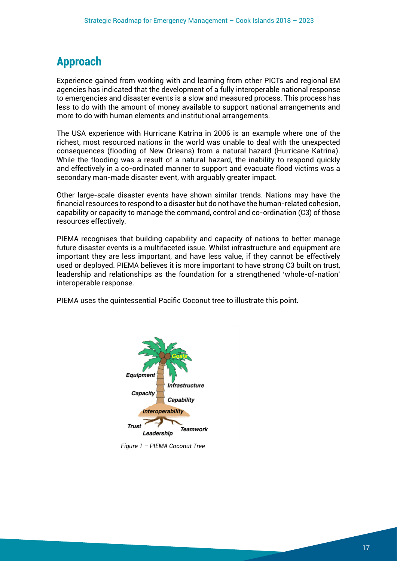### **Approach**

Experience gained from working with and learning from other PICTs and regional EM agencies has indicated that the development of a fully interoperable national response to emergencies and disaster events is a slow and measured process. This process has less to do with the amount of money available to support national arrangements and more to do with human elements and institutional arrangements.

The USA experience with Hurricane Katrina in 2006 is an example where one of the richest, most resourced nations in the world was unable to deal with the unexpected consequences (flooding of New Orleans) from a natural hazard (Hurricane Katrina). While the flooding was a result of a natural hazard, the inability to respond quickly and effectively in a co-ordinated manner to support and evacuate flood victims was a secondary man-made disaster event, with arguably greater impact.

Other large-scale disaster events have shown similar trends. Nations may have the financial resources to respond to a disaster but do not have the human-related cohesion, capability or capacity to manage the command, control and co-ordination (C3) of those resources effectively.

PIEMA recognises that building capability and capacity of nations to better manage future disaster events is a multifaceted issue. Whilst infrastructure and equipment are important they are less important, and have less value, if they cannot be effectively used or deployed. PIEMA believes it is more important to have strong C3 built on trust, leadership and relationships as the foundation for a strengthened 'whole-of-nation' interoperable response.

PIEMA uses the quintessential Pacific Coconut tree to illustrate this point.



*Figure 1 – PIEMA Coconut Tree*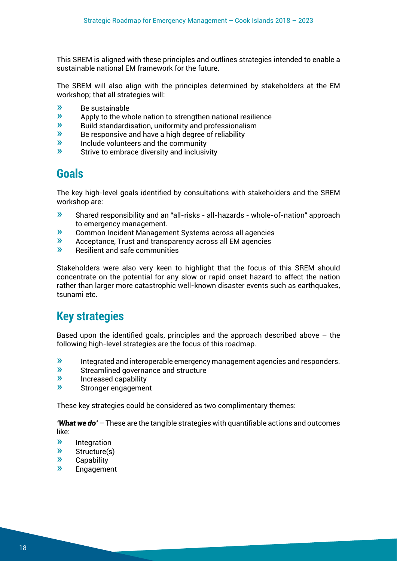This SREM is aligned with these principles and outlines strategies intended to enable a sustainable national EM framework for the future.

The SREM will also align with the principles determined by stakeholders at the EM workshop; that all strategies will:

- $\frac{w}{x}$  Be sustainable
- $\frac{\partial v}{\partial x}$  Apply to the whole nation to strengthen national resilience<br>  $\frac{\partial v}{\partial y}$  Ruild standardisation uniformity and professionalism
- $\frac{\infty}{\infty}$  Build standardisation, uniformity and professionalism<br>
Be responsive and have a high degree of reliability
- $\mathcal{P}$  Be responsive and have a high degree of reliability<br>  $\mathcal{P}$  locude volunteers and the community
- $\frac{\partial v}{\partial x}$  Include volunteers and the community<br>
Strive to embrace diversity and inclusive
- Strive to embrace diversity and inclusivity

### **Goals**

The key high-level goals identified by consultations with stakeholders and the SREM workshop are:

- » Shared responsibility and an "all-risks all-hazards whole-of-nation" approach to emergency management.
- » Common Incident Management Systems across all agencies
- » Acceptance, Trust and transparency across all EM agencies
- » Resilient and safe communities

Stakeholders were also very keen to highlight that the focus of this SREM should concentrate on the potential for any slow or rapid onset hazard to affect the nation rather than larger more catastrophic well-known disaster events such as earthquakes, tsunami etc.

### **Key strategies**

Based upon the identified goals, principles and the approach described above  $-$  the following high-level strategies are the focus of this roadmap.

- $\mathcal{R}$  Integrated and interoperable emergency management agencies and responders.<br>
Streamlined governance and structure
- » Streamlined governance and structure
- » Increased capability
- » Stronger engagement

These key strategies could be considered as two complimentary themes:

*'What we do'* – These are the tangible strategies with quantifiable actions and outcomes like:

- **»** Integration<br> **»** Structure(s)
- Structure(s)
- » Capability
- » Engagement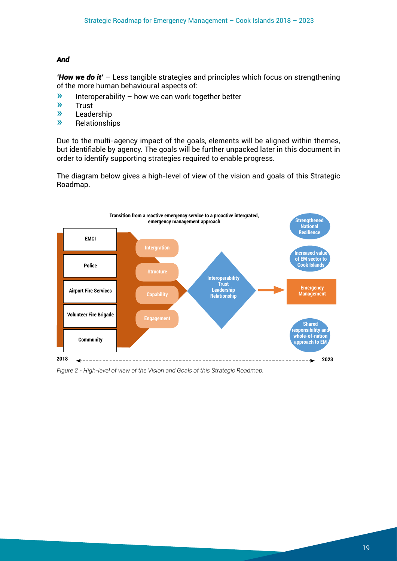#### *And*

*'How we do it'* – Less tangible strategies and principles which focus on strengthening of the more human behavioural aspects of:

- **»** Interoperability how we can work together better<br> **••** Trust
- » Trust
- » Leadership
- » Relationships

Due to the multi-agency impact of the goals, elements will be aligned within themes, but identifiable by agency. The goals will be further unpacked later in this document in order to identify supporting strategies required to enable progress.

The diagram below gives a high-level of view of the vision and goals of this Strategic Roadmap.



*Figure 2 - High-level of view of the Vision and Goals of this Strategic Roadmap.*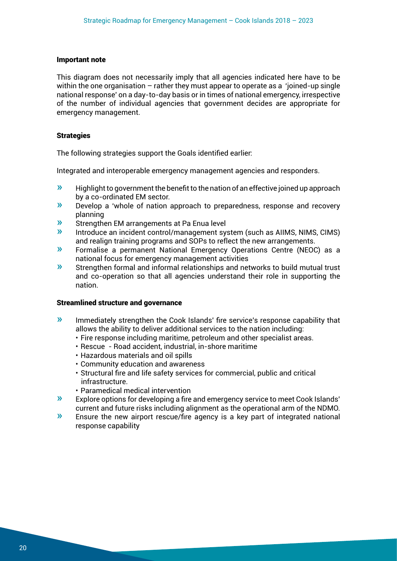#### Important note

This diagram does not necessarily imply that all agencies indicated here have to be within the one organisation – rather they must appear to operate as a 'joined-up single national response' on a day-to-day basis or in times of national emergency, irrespective of the number of individual agencies that government decides are appropriate for emergency management.

#### **Strategies**

The following strategies support the Goals identified earlier:

Integrated and interoperable emergency management agencies and responders.

- $\gg$  Highlight to government the benefit to the nation of an effective joined up approach by a co-ordinated EM sector.
- » Develop a 'whole of nation approach to preparedness, response and recovery planning
- **»** Strengthen EM arrangements at Pa Enua level
- » Introduce an incident control/management system (such as AIIMS, NIMS, CIMS) and realign training programs and SOPs to reflect the new arrangements.
- » Formalise a permanent National Emergency Operations Centre (NEOC) as a national focus for emergency management activities
- » Strengthen formal and informal relationships and networks to build mutual trust and co-operation so that all agencies understand their role in supporting the nation.

#### Streamlined structure and governance

- » Immediately strengthen the Cook Islands' fire service's response capability that allows the ability to deliver additional services to the nation including:
	- Fire response including maritime, petroleum and other specialist areas.
	- Rescue Road accident, industrial, in-shore maritime
	- Hazardous materials and oil spills
	- Community education and awareness
	- Structural fire and life safety services for commercial, public and critical infrastructure.
	- Paramedical medical intervention
- » Explore options for developing a fire and emergency service to meet Cook Islands' current and future risks including alignment as the operational arm of the NDMO.
- » Ensure the new airport rescue/fire agency is a key part of integrated national response capability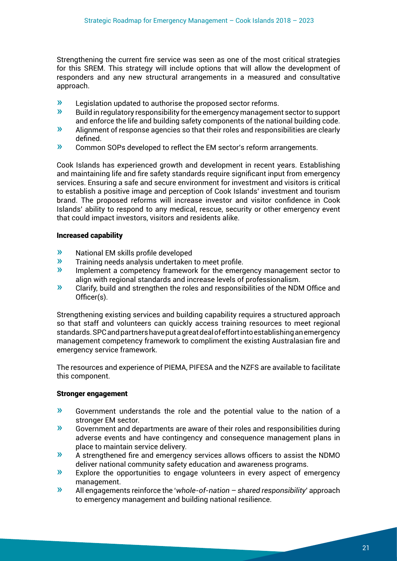Strengthening the current fire service was seen as one of the most critical strategies for this SREM. This strategy will include options that will allow the development of responders and any new structural arrangements in a measured and consultative approach.

- $\lambda$  Legislation updated to authorise the proposed sector reforms.<br> $\lambda$  Ruild in requilatory responsibility for the emergency management
- » Build in regulatory responsibility for the emergency management sector to support and enforce the life and building safety components of the national building code.
- » Alignment of response agencies so that their roles and responsibilities are clearly defined.
- » Common SOPs developed to reflect the EM sector's reform arrangements.

Cook Islands has experienced growth and development in recent years. Establishing and maintaining life and fire safety standards require significant input from emergency services. Ensuring a safe and secure environment for investment and visitors is critical to establish a positive image and perception of Cook Islands' investment and tourism brand. The proposed reforms will increase investor and visitor confidence in Cook Islands' ability to respond to any medical, rescue, security or other emergency event that could impact investors, visitors and residents alike.

#### Increased capability

- » National EM skills profile developed
- » Training needs analysis undertaken to meet profile.
- Implement a competency framework for the emergency management sector to align with regional standards and increase levels of professionalism.
- » Clarify, build and strengthen the roles and responsibilities of the NDM Office and Officer(s).

Strengthening existing services and building capability requires a structured approach so that staff and volunteers can quickly access training resources to meet regional standards. SPC and partners have put a great deal of effort into establishing an emergency management competency framework to compliment the existing Australasian fire and emergency service framework.

The resources and experience of PIEMA, PIFESA and the NZFS are available to facilitate this component.

### Stronger engagement

- » Government understands the role and the potential value to the nation of a stronger EM sector.
- » Government and departments are aware of their roles and responsibilities during adverse events and have contingency and consequence management plans in place to maintain service delivery.
- » A strengthened fire and emergency services allows officers to assist the NDMO deliver national community safety education and awareness programs.
- » Explore the opportunities to engage volunteers in every aspect of emergency management.
- » All engagements reinforce the '*whole-of-nation shared responsibility*' approach to emergency management and building national resilience.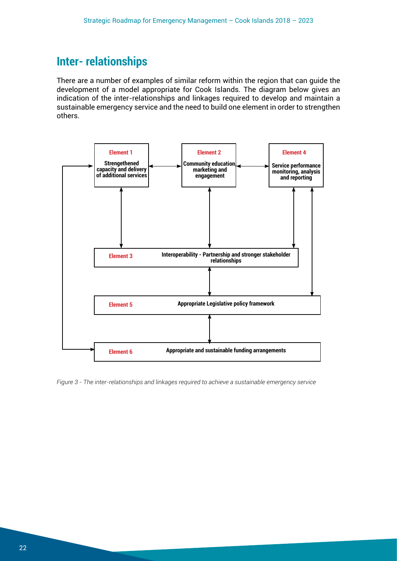### **Inter- relationships**

There are a number of examples of similar reform within the region that can guide the development of a model appropriate for Cook Islands. The diagram below gives an indication of the inter-relationships and linkages required to develop and maintain a sustainable emergency service and the need to build one element in order to strengthen others.



*Figure 3 - The inter-relationships and linkages required to achieve a sustainable emergency service*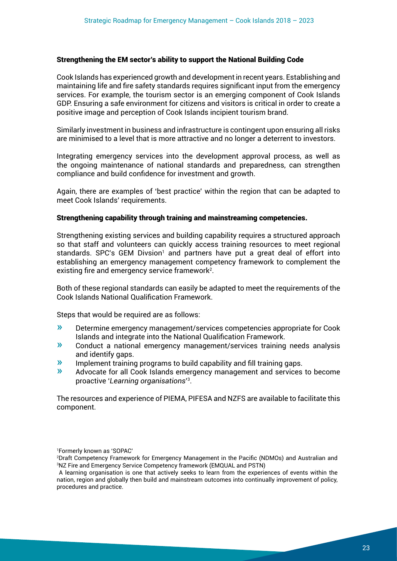#### Strengthening the EM sector's ability to support the National Building Code

Cook Islands has experienced growth and development in recent years. Establishing and maintaining life and fire safety standards requires significant input from the emergency services. For example, the tourism sector is an emerging component of Cook Islands GDP. Ensuring a safe environment for citizens and visitors is critical in order to create a positive image and perception of Cook Islands incipient tourism brand.

Similarly investment in business and infrastructure is contingent upon ensuring all risks are minimised to a level that is more attractive and no longer a deterrent to investors.

Integrating emergency services into the development approval process, as well as the ongoing maintenance of national standards and preparedness, can strengthen compliance and build confidence for investment and growth.

Again, there are examples of 'best practice' within the region that can be adapted to meet Cook Islands' requirements.

#### Strengthening capability through training and mainstreaming competencies.

Strengthening existing services and building capability requires a structured approach so that staff and volunteers can quickly access training resources to meet regional standards. SPC's GEM Divsion<sup>1</sup> and partners have put a great deal of effort into establishing an emergency management competency framework to complement the existing fire and emergency service framework<sup>2</sup>.

Both of these regional standards can easily be adapted to meet the requirements of the Cook Islands National Qualification Framework.

Steps that would be required are as follows:

- » Determine emergency management/services competencies appropriate for Cook Islands and integrate into the National Qualification Framework.
- » Conduct a national emergency management/services training needs analysis and identify gaps.
- » Implement training programs to build capability and fill training gaps.
- » Advocate for all Cook Islands emergency management and services to become proactive '*Learning organisations*' 3 .

The resources and experience of PIEMA, PIFESA and NZFS are available to facilitate this component.

1 Formerly known as 'SOPAC'

<sup>2</sup> Draft Competency Framework for Emergency Management in the Pacific (NDMOs) and Australian and 3 NZ Fire and Emergency Service Competency framework (EMQUAL and PSTN)

A learning organisation is one that actively seeks to learn from the experiences of events within the nation, region and globally then build and mainstream outcomes into continually improvement of policy, procedures and practice.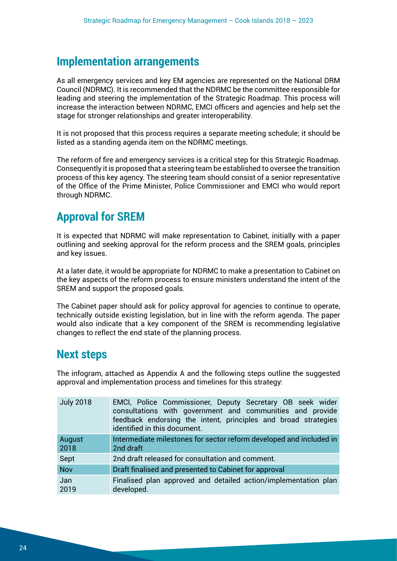### **Implementation arrangements**

As all emergency services and key EM agencies are represented on the National DRM Council (NDRMC). It is recommended that the NDRMC be the committee responsible for leading and steering the implementation of the Strategic Roadmap. This process will increase the interaction between NDRMC, EMCI officers and agencies and help set the stage for stronger relationships and greater interoperability.

It is not proposed that this process requires a separate meeting schedule; it should be listed as a standing agenda item on the NDRMC meetings.

The reform of fire and emergency services is a critical step for this Strategic Roadmap. Consequently it is proposed that a steering team be established to oversee the transition process of this key agency. The steering team should consist of a senior representative of the Office of the Prime Minister, Police Commissioner and EMCI who would report through NDRMC.

### **Approval for SREM**

It is expected that NDRMC will make representation to Cabinet, initially with a paper outlining and seeking approval for the reform process and the SREM goals, principles and key issues.

At a later date, it would be appropriate for NDRMC to make a presentation to Cabinet on the key aspects of the reform process to ensure ministers understand the intent of the SREM and support the proposed goals.

The Cabinet paper should ask for policy approval for agencies to continue to operate, technically outside existing legislation, but in line with the reform agenda. The paper would also indicate that a key component of the SREM is recommending legislative changes to reflect the end state of the planning process.

### **Next steps**

The infogram, attached as Appendix A and the following steps outline the suggested approval and implementation process and timelines for this strategy:

| <b>July 2018</b> | EMCI, Police Commissioner, Deputy Secretary OB seek wider<br>consultations with government and communities and provide<br>feedback endorsing the intent, principles and broad strategies<br>identified in this document. |
|------------------|--------------------------------------------------------------------------------------------------------------------------------------------------------------------------------------------------------------------------|
| August<br>2018   | Intermediate milestones for sector reform developed and included in<br>2nd draft                                                                                                                                         |
| Sept             | 2nd draft released for consultation and comment.                                                                                                                                                                         |
| <b>Nov</b>       | Draft finalised and presented to Cabinet for approval                                                                                                                                                                    |
| Jan<br>2019      | Finalised plan approved and detailed action/implementation plan<br>developed.                                                                                                                                            |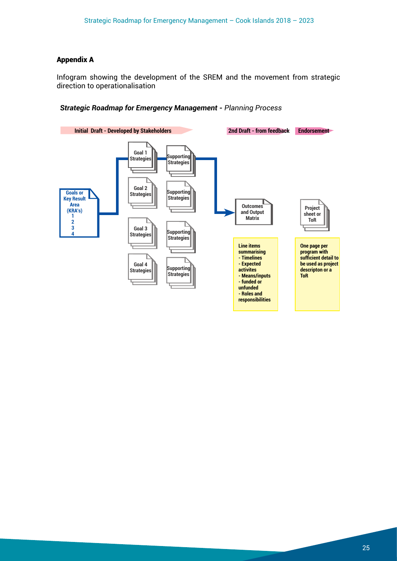#### Appendix A

Infogram showing the development of the SREM and the movement from strategic direction to operationalisation

#### *Strategic Roadmap for Emergency Management - Planning Process*

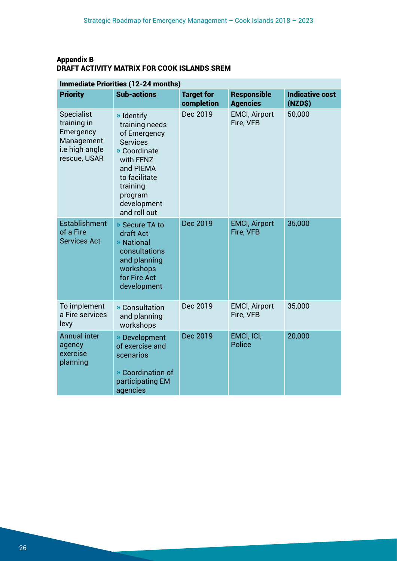### Appendix B DRAFT ACTIVITY MATRIX FOR COOK ISLANDS SREM

| Immediate Priorities (12-24 months)                                                           |                                                                                                                                                                                  |                                 |                                       |                                   |
|-----------------------------------------------------------------------------------------------|----------------------------------------------------------------------------------------------------------------------------------------------------------------------------------|---------------------------------|---------------------------------------|-----------------------------------|
| <b>Priority</b>                                                                               | <b>Sub-actions</b>                                                                                                                                                               | <b>Target for</b><br>completion | <b>Responsible</b><br><b>Agencies</b> | <b>Indicative cost</b><br>(NZD\$) |
| <b>Specialist</b><br>training in<br>Emergency<br>Management<br>i.e high angle<br>rescue, USAR | » Identify<br>training needs<br>of Emergency<br><b>Services</b><br>» Coordinate<br>with FENZ<br>and PIEMA<br>to facilitate<br>training<br>program<br>development<br>and roll out | Dec 2019                        | <b>EMCI, Airport</b><br>Fire, VFB     | 50,000                            |
| <b>Establishment</b><br>of a Fire<br><b>Services Act</b>                                      | » Secure TA to<br>draft Act<br>» National<br>consultations<br>and planning<br>workshops<br>for Fire Act<br>development                                                           | Dec 2019                        | <b>EMCI, Airport</b><br>Fire, VFB     | 35,000                            |
| To implement<br>a Fire services<br>levy                                                       | » Consultation<br>and planning<br>workshops                                                                                                                                      | Dec 2019                        | <b>EMCI, Airport</b><br>Fire, VFB     | 35,000                            |
| <b>Annual inter</b><br>agency<br>exercise<br>planning                                         | » Development<br>of exercise and<br>scenarios<br>» Coordination of<br>participating EM<br>agencies                                                                               | Dec 2019                        | EMCI, ICI,<br><b>Police</b>           | 20,000                            |

### Immediate Priorities (12-24 months)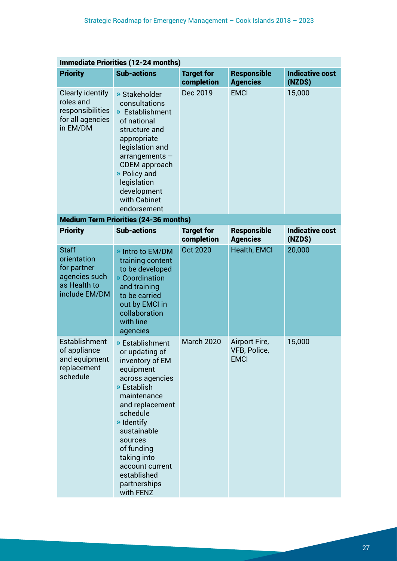| <b>Immediate Priorities (12-24 months)</b>                                                   |                                                                                                                                                                                                                                                                                       |                                 |                                              |                                   |
|----------------------------------------------------------------------------------------------|---------------------------------------------------------------------------------------------------------------------------------------------------------------------------------------------------------------------------------------------------------------------------------------|---------------------------------|----------------------------------------------|-----------------------------------|
| <b>Priority</b>                                                                              | <b>Sub-actions</b>                                                                                                                                                                                                                                                                    | <b>Target for</b><br>completion | Responsible<br><b>Agencies</b>               | <b>Indicative cost</b><br>(NZD\$) |
| <b>Clearly identify</b><br>roles and<br>responsibilities<br>for all agencies<br>in EM/DM     | » Stakeholder<br>consultations<br>» Establishment<br>of national<br>structure and<br>appropriate<br>legislation and<br>$arrangements -$<br><b>CDEM</b> approach<br>» Policy and<br>legislation<br>development<br>with Cabinet<br>endorsement                                          | Dec 2019                        | <b>EMCI</b>                                  | 15,000                            |
|                                                                                              | <b>Medium Term Priorities (24-36 months)</b>                                                                                                                                                                                                                                          |                                 |                                              |                                   |
| <b>Priority</b>                                                                              | <b>Sub-actions</b>                                                                                                                                                                                                                                                                    | <b>Target for</b><br>completion | <b>Responsible</b><br><b>Agencies</b>        | <b>Indicative cost</b><br>(NZD\$) |
| <b>Staff</b><br>orientation<br>for partner<br>agencies such<br>as Health to<br>include EM/DM | » Intro to EM/DM<br>training content<br>to be developed<br>» Coordination<br>and training<br>to be carried<br>out by EMCI in<br>collaboration<br>with line<br>agencies                                                                                                                | <b>Oct 2020</b>                 | Health, EMCI                                 | 20,000                            |
| Establishment<br>of appliance<br>and equipment<br>replacement<br>schedule                    | » Establishment<br>or updating of<br>inventory of EM<br>equipment<br>across agencies<br>» Establish<br>maintenance<br>and replacement<br>schedule<br>» Identify<br>sustainable<br>sources<br>of funding<br>taking into<br>account current<br>established<br>partnerships<br>with FENZ | <b>March 2020</b>               | Airport Fire,<br>VFB, Police,<br><b>EMCI</b> | 15,000                            |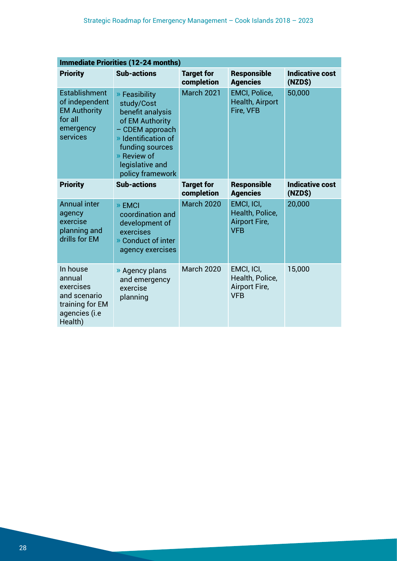| <b>Immediate Priorities (12-24 months)</b>                                                        |                                                                                                                                                                                       |                                 |                                                                     |                                   |
|---------------------------------------------------------------------------------------------------|---------------------------------------------------------------------------------------------------------------------------------------------------------------------------------------|---------------------------------|---------------------------------------------------------------------|-----------------------------------|
| <b>Priority</b>                                                                                   | <b>Sub-actions</b>                                                                                                                                                                    | <b>Target for</b><br>completion | <b>Responsible</b><br><b>Agencies</b>                               | <b>Indicative cost</b><br>(NZD\$) |
| <b>Establishment</b><br>of independent<br><b>EM Authority</b><br>for all<br>emergency<br>services | » Feasibility<br>study/Cost<br>benefit analysis<br>of EM Authority<br>- CDEM approach<br>» Identification of<br>funding sources<br>» Review of<br>legislative and<br>policy framework | March 2021                      | <b>EMCI, Police,</b><br><b>Health, Airport</b><br>Fire, VFB         | 50,000                            |
| <b>Priority</b>                                                                                   | <b>Sub-actions</b>                                                                                                                                                                    | <b>Target for</b><br>completion | <b>Responsible</b><br><b>Agencies</b>                               | <b>Indicative cost</b><br>(NZD\$) |
| <b>Annual inter</b><br>agency<br>exercise<br>planning and<br>drills for EM                        | » EMCI<br>coordination and<br>development of<br>exercises<br>» Conduct of inter<br>agency exercises                                                                                   | <b>March 2020</b>               | EMCI, ICI,<br>Health, Police,<br><b>Airport Fire,</b><br><b>VFB</b> | 20,000                            |
| In house<br>annual<br>exercises<br>and scenario<br>training for EM<br>agencies (i.e<br>Health)    | » Agency plans<br>and emergency<br>exercise<br>planning                                                                                                                               | <b>March 2020</b>               | EMCI, ICI,<br>Health, Police,<br>Airport Fire,<br><b>VFB</b>        | 15,000                            |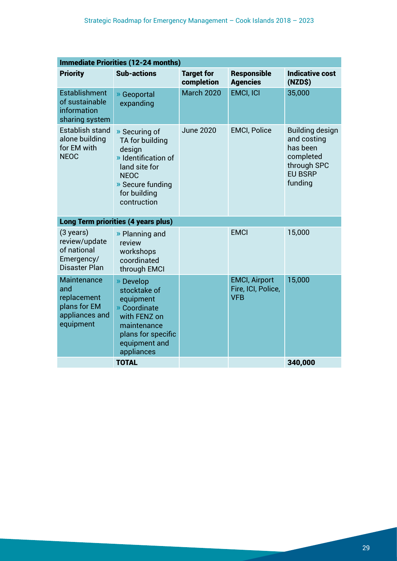| <b>Immediate Priorities (12-24 months)</b>                                         |                                                                                                                                                      |                                 |                                                          |                                                                                                            |
|------------------------------------------------------------------------------------|------------------------------------------------------------------------------------------------------------------------------------------------------|---------------------------------|----------------------------------------------------------|------------------------------------------------------------------------------------------------------------|
| <b>Priority</b>                                                                    | <b>Sub-actions</b>                                                                                                                                   | <b>Target for</b><br>completion | <b>Responsible</b><br><b>Agencies</b>                    | <b>Indicative cost</b><br>(NZD\$)                                                                          |
| Establishment<br>of sustainable<br>information<br>sharing system                   | » Geoportal<br>expanding                                                                                                                             | <b>March 2020</b>               | <b>EMCI, ICI</b>                                         | 35,000                                                                                                     |
| <b>Establish stand</b><br>alone building<br>for EM with<br><b>NEOC</b>             | » Securing of<br>TA for building<br>design<br>» Identification of<br>land site for<br><b>NEOC</b><br>» Secure funding<br>for building<br>contruction | <b>June 2020</b>                | <b>EMCI, Police</b>                                      | <b>Building design</b><br>and costing<br>has been<br>completed<br>through SPC<br><b>EU BSRP</b><br>funding |
|                                                                                    | <b>Long Term priorities (4 years plus)</b>                                                                                                           |                                 |                                                          |                                                                                                            |
| $(3 \text{ years})$<br>review/update<br>of national<br>Emergency/<br>Disaster Plan | » Planning and<br>review<br>workshops<br>coordinated<br>through EMCI                                                                                 |                                 | <b>EMCI</b>                                              | 15,000                                                                                                     |
| Maintenance<br>and<br>replacement<br>plans for EM<br>appliances and<br>equipment   | » Develop<br>stocktake of<br>equipment<br>» Coordinate<br>with FENZ on<br>maintenance<br>plans for specific<br>equipment and<br>appliances           |                                 | <b>EMCI, Airport</b><br>Fire, ICI, Police,<br><b>VFB</b> | 15,000                                                                                                     |
|                                                                                    | <b>TOTAL</b>                                                                                                                                         |                                 |                                                          | 340,000                                                                                                    |